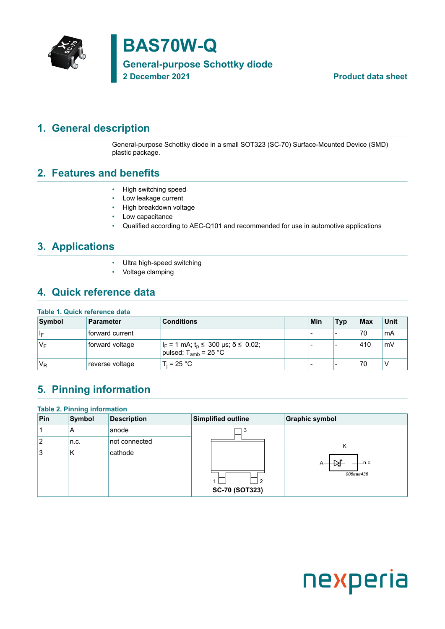

# **BAS70W-Q**

**General-purpose Schottky diode**

**2 December 2021 Product data sheet**

### <span id="page-0-0"></span>**1. General description**

General-purpose Schottky diode in a small SOT323 (SC-70) Surface-Mounted Device (SMD) plastic package.

#### <span id="page-0-1"></span>**2. Features and benefits**

- High switching speed
- Low leakage current
- High breakdown voltage
- Low capacitance
- Qualified according to AEC-Q101 and recommended for use in automotive applications

### <span id="page-0-2"></span>**3. Applications**

- Ultra high-speed switching
- Voltage clamping

### <span id="page-0-3"></span>**4. Quick reference data**

#### **Table 1. Quick reference data**

| Symbol | <b>Parameter</b> | <b>Conditions</b>                                                                 | Min | <b>Typ</b>               | $ $ Max | <b>Unit</b> |
|--------|------------------|-----------------------------------------------------------------------------------|-----|--------------------------|---------|-------------|
| ∣∣⊧    | forward current  |                                                                                   | -   | $\overline{\phantom{a}}$ | 70      | ˈmA         |
| 'V⊧    | forward voltage  | $ I_F = 1$ mA; $t_p \le 300$ µs; $\delta \le 0.02$ ;<br>pulsed; $T_{amb}$ = 25 °C |     |                          | 410     | mV          |
| $V_R$  | reverse voltage  | $T_i = 25 °C$                                                                     | -   | $\overline{\phantom{a}}$ | 70      | ν           |

## <span id="page-0-4"></span>**5. Pinning information**

| <b>Table 2. Pinning information</b> |        |                    |                            |                                       |  |  |  |  |
|-------------------------------------|--------|--------------------|----------------------------|---------------------------------------|--|--|--|--|
| Pin                                 | Symbol | <b>Description</b> | Simplified outline         | <b>Graphic symbol</b>                 |  |  |  |  |
|                                     | A      | anode              |                            |                                       |  |  |  |  |
| $^{\prime}$ 2                       | n.c.   | not connected      |                            |                                       |  |  |  |  |
| Ι3                                  | K      | cathode            | 2<br><b>SC-70 (SOT323)</b> | A $\rightarrow$<br>—n.c.<br>006aaa436 |  |  |  |  |

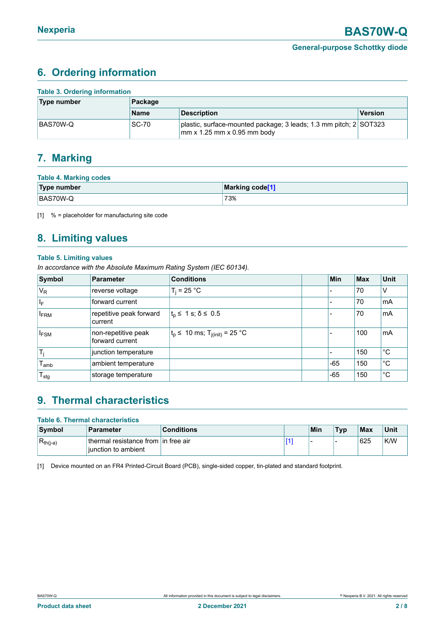### <span id="page-1-1"></span><span id="page-1-0"></span>**6. Ordering information**

| <b>Table 3. Ordering information</b> |             |                                                                                                         |         |  |  |  |
|--------------------------------------|-------------|---------------------------------------------------------------------------------------------------------|---------|--|--|--|
| Type number                          | Package     |                                                                                                         |         |  |  |  |
|                                      | <b>Name</b> | <b>Description</b>                                                                                      | Version |  |  |  |
| BAS70W-Q                             | SC-70       | plastic, surface-mounted package; 3 leads; 1.3 mm pitch; 2 SOT323<br>$\rm{mm}$ x 1.25 mm x 0.95 mm body |         |  |  |  |

#### <span id="page-1-2"></span>**7. Marking**

| <b>Table 4. Marking codes</b> |                 |  |  |  |  |  |
|-------------------------------|-----------------|--|--|--|--|--|
| Type number                   | Marking code[1] |  |  |  |  |  |
| BAS70W-Q                      | 73%             |  |  |  |  |  |

[1] % = placeholder for manufacturing site code

# <span id="page-1-3"></span>**8. Limiting values**

#### **Table 5. Limiting values**

*In accordance with the Absolute Maximum Rating System (IEC 60134).*

| Symbol                  | <b>Parameter</b>                       | <b>Conditions</b>                           | <b>Min</b> | <b>Max</b> | <b>Unit</b> |
|-------------------------|----------------------------------------|---------------------------------------------|------------|------------|-------------|
| $V_R$                   | reverse voltage                        | $T_i = 25 °C$                               |            | 70         | ١V          |
| $\mathsf{I}_\mathsf{F}$ | forward current                        |                                             |            | 70         | mA          |
| <b>FRM</b>              | repetitive peak forward<br>current     | $ t_{p} \leq 1$ s; $\delta \leq 0.5$        |            | 70         | mA          |
| <b>IFSM</b>             | non-repetitive peak<br>forward current | $t_p$ ≤ 10 ms; T <sub>j(init)</sub> = 25 °C |            | 100        | mA          |
| $T_i$                   | junction temperature                   |                                             |            | 150        | °C          |
| $I_{amb}$               | ambient temperature                    |                                             | $-65$      | 150        | °C          |
| $T_{\text{stg}}$        | storage temperature                    |                                             | $-65$      | 150        | $^{\circ}C$ |

### <span id="page-1-4"></span>**9. Thermal characteristics**

| <b>Table 6. Thermal characteristics</b> |                                                                |                   |  |     |            |            |      |
|-----------------------------------------|----------------------------------------------------------------|-------------------|--|-----|------------|------------|------|
| Symbol                                  | Parameter                                                      | <b>Conditions</b> |  | Min | <b>Typ</b> | <b>Max</b> | Unit |
| $R_{th(j-a)}$                           | ⊺thermal resistance from I in free air<br>liunction to ambient |                   |  | -   |            | 625        | K/W  |

[1] Device mounted on an FR4 Printed-Circuit Board (PCB), single-sided copper, tin-plated and standard footprint.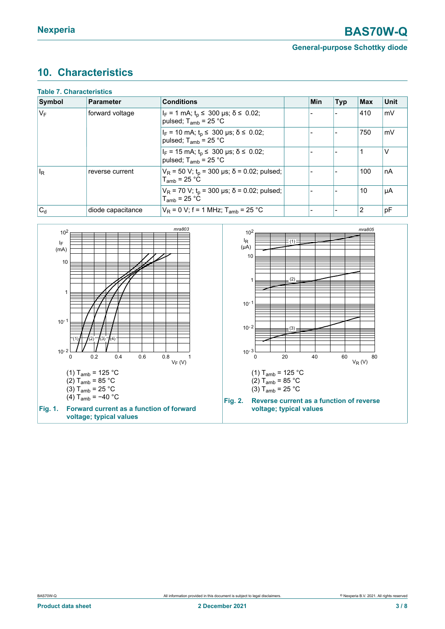**General-purpose Schottky diode**

# <span id="page-2-0"></span>**10. Characteristics**

| <b>Table 7. Characteristics</b> |                   |                                                                                   |     |            |            |             |  |
|---------------------------------|-------------------|-----------------------------------------------------------------------------------|-----|------------|------------|-------------|--|
| Symbol                          | Parameter         | <b>Conditions</b>                                                                 | Min | <b>Typ</b> | <b>Max</b> | <b>Unit</b> |  |
| V <sub>F</sub>                  | forward voltage   | $I_F = 1$ mA; $t_p \le 300$ µs; $\delta \le 0.02$ ;<br>pulsed; $T_{amb}$ = 25 °C  |     |            | 410        | mV          |  |
|                                 |                   | $I_F$ = 10 mA; $t_p$ ≤ 300 µs; $\delta$ ≤ 0.02;<br>pulsed; $T_{amb}$ = 25 °C      |     |            | 750        | mV          |  |
|                                 |                   | $I_F = 15$ mA; $t_p \le 300$ µs; $\delta \le 0.02$ ;<br>pulsed; $T_{amb}$ = 25 °C |     |            |            | V           |  |
| $I_R$                           | reverse current   | $V_R$ = 50 V; t <sub>p</sub> = 300 μs; δ = 0.02; pulsed;<br>$T_{amb}$ = 25 °C     |     |            | 100        | nA          |  |
|                                 |                   | $V_R$ = 70 V; t <sub>p</sub> = 300 μs; δ = 0.02; pulsed;  <br>$T_{amb}$ = 25 °C   |     |            | 10         | μA          |  |
| $ C_d $                         | diode capacitance | $V_R$ = 0 V; f = 1 MHz; T <sub>amb</sub> = 25 °C                                  |     |            | 2          | рF          |  |

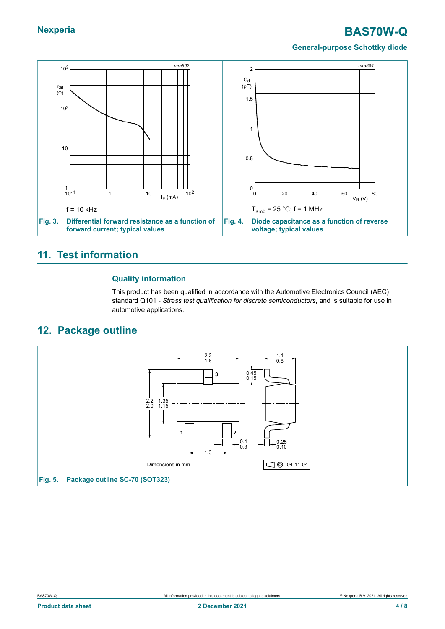# **Nexperia BAS70W-Q**

#### **General-purpose Schottky diode**



#### <span id="page-3-0"></span>**11. Test information**

#### **Quality information**

This product has been qualified in accordance with the Automotive Electronics Council (AEC) standard Q101 - *Stress test qualification for discrete semiconductors*, and is suitable for use in automotive applications.

#### <span id="page-3-1"></span>**12. Package outline**

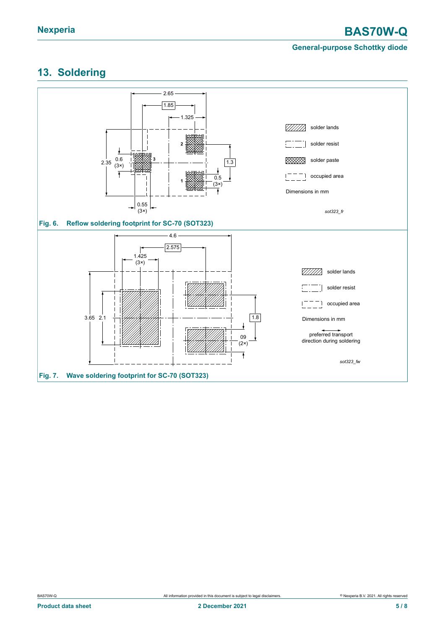#### **General-purpose Schottky diode**

# <span id="page-4-0"></span>**13. Soldering**

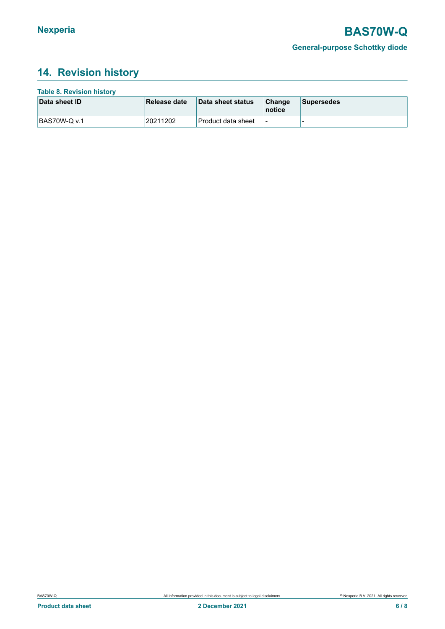# <span id="page-5-0"></span>**14. Revision history**

| <b>Table 8. Revision history</b> |              |                      |                          |                   |
|----------------------------------|--------------|----------------------|--------------------------|-------------------|
| Data sheet ID                    | Release date | Data sheet status    | Change<br>notice         | <b>Supersedes</b> |
| <b>BAS70W-Q v.1</b>              | 20211202     | ∣Product data sheet_ | $\overline{\phantom{a}}$ | -                 |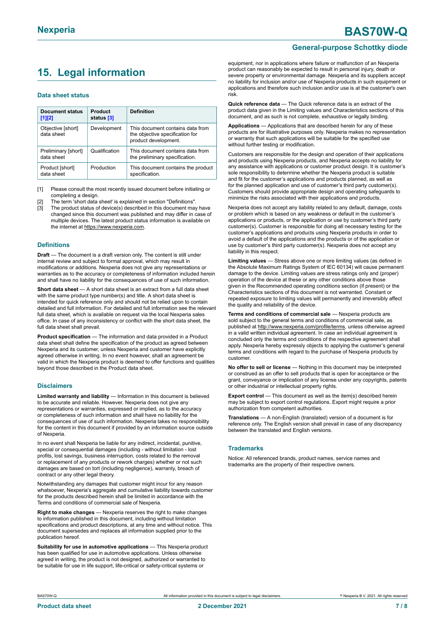## <span id="page-6-0"></span>**15. Legal information**

#### **Data sheet status**

| Document status<br>$[1]$ [2]      | Product<br>status [3] | <b>Definition</b>                                                                           |
|-----------------------------------|-----------------------|---------------------------------------------------------------------------------------------|
| Objective [short]<br>data sheet   | Development           | This document contains data from<br>the objective specification for<br>product development. |
| Preliminary [short]<br>data sheet | Qualification         | This document contains data from<br>the preliminary specification.                          |
| Product [short]<br>data sheet     | Production            | This document contains the product<br>specification.                                        |

[1] Please consult the most recently issued document before initiating or completing a design.

The term 'short data sheet' is explained in section "Definitions"

[3] The product status of device(s) described in this document may have changed since this document was published and may differ in case of multiple devices. The latest product status information is available on the internet at [https://www.nexperia.com.](https://www.nexperia.com)

#### **Definitions**

**Draft** — The document is a draft version only. The content is still under internal review and subject to formal approval, which may result in modifications or additions. Nexperia does not give any representations or warranties as to the accuracy or completeness of information included herein and shall have no liability for the consequences of use of such information.

**Short data sheet** — A short data sheet is an extract from a full data sheet with the same product type number(s) and title. A short data sheet is intended for quick reference only and should not be relied upon to contain detailed and full information. For detailed and full information see the relevant full data sheet, which is available on request via the local Nexperia sales office. In case of any inconsistency or conflict with the short data sheet, the full data sheet shall prevail.

**Product specification** — The information and data provided in a Product data sheet shall define the specification of the product as agreed between Nexperia and its customer, unless Nexperia and customer have explicitly agreed otherwise in writing. In no event however, shall an agreement be valid in which the Nexperia product is deemed to offer functions and qualities beyond those described in the Product data sheet.

#### **Disclaimers**

**Limited warranty and liability** — Information in this document is believed to be accurate and reliable. However, Nexperia does not give any representations or warranties, expressed or implied, as to the accuracy or completeness of such information and shall have no liability for the consequences of use of such information. Nexperia takes no responsibility for the content in this document if provided by an information source outside of Nexperia.

In no event shall Nexperia be liable for any indirect, incidental, punitive, special or consequential damages (including - without limitation - lost profits, lost savings, business interruption, costs related to the removal or replacement of any products or rework charges) whether or not such damages are based on tort (including negligence), warranty, breach of contract or any other legal theory.

Notwithstanding any damages that customer might incur for any reason whatsoever, Nexperia's aggregate and cumulative liability towards customer for the products described herein shall be limited in accordance with the Terms and conditions of commercial sale of Nexperia.

**Right to make changes** — Nexperia reserves the right to make changes to information published in this document, including without limitation specifications and product descriptions, at any time and without notice. This document supersedes and replaces all information supplied prior to the publication hereof

**Suitability for use in automotive applications** — This Nexperia product has been qualified for use in automotive applications. Unless otherwise agreed in writing, the product is not designed, authorized or warranted to be suitable for use in life support, life-critical or safety-critical systems or

## **Nexperia BAS70W-Q**

#### **General-purpose Schottky diode**

equipment, nor in applications where failure or malfunction of an Nexperia product can reasonably be expected to result in personal injury, death or severe property or environmental damage. Nexperia and its suppliers accept no liability for inclusion and/or use of Nexperia products in such equipment or applications and therefore such inclusion and/or use is at the customer's own risk.

**Quick reference data** — The Quick reference data is an extract of the product data given in the Limiting values and Characteristics sections of this document, and as such is not complete, exhaustive or legally binding.

**Applications** — Applications that are described herein for any of these products are for illustrative purposes only. Nexperia makes no representation or warranty that such applications will be suitable for the specified use without further testing or modification.

Customers are responsible for the design and operation of their applications and products using Nexperia products, and Nexperia accepts no liability for any assistance with applications or customer product design. It is customer's sole responsibility to determine whether the Nexperia product is suitable and fit for the customer's applications and products planned, as well as for the planned application and use of customer's third party customer(s). Customers should provide appropriate design and operating safeguards to minimize the risks associated with their applications and products.

Nexperia does not accept any liability related to any default, damage, costs or problem which is based on any weakness or default in the customer's applications or products, or the application or use by customer's third party customer(s). Customer is responsible for doing all necessary testing for the customer's applications and products using Nexperia products in order to avoid a default of the applications and the products or of the application or use by customer's third party customer(s). Nexperia does not accept any liability in this respect.

**Limiting values** — Stress above one or more limiting values (as defined in the Absolute Maximum Ratings System of IEC 60134) will cause permanent damage to the device. Limiting values are stress ratings only and (proper) operation of the device at these or any other conditions above those given in the Recommended operating conditions section (if present) or the Characteristics sections of this document is not warranted. Constant or repeated exposure to limiting values will permanently and irreversibly affect the quality and reliability of the device.

**Terms and conditions of commercial sale** — Nexperia products are sold subject to the general terms and conditions of commercial sale, as published at [http://www.nexperia.com/profile/terms,](http://www.nexperia.com/profile/terms) unless otherwise agreed in a valid written individual agreement. In case an individual agreement is concluded only the terms and conditions of the respective agreement shall apply. Nexperia hereby expressly objects to applying the customer's general terms and conditions with regard to the purchase of Nexperia products by customer.

**No offer to sell or license** — Nothing in this document may be interpreted or construed as an offer to sell products that is open for acceptance or the grant, conveyance or implication of any license under any copyrights, patents or other industrial or intellectual property rights.

**Export control** — This document as well as the item(s) described herein may be subject to export control regulations. Export might require a prior authorization from competent authorities.

**Translations** — A non-English (translated) version of a document is for reference only. The English version shall prevail in case of any discrepancy between the translated and English versions.

#### **Trademarks**

Notice: All referenced brands, product names, service names and trademarks are the property of their respective owners.